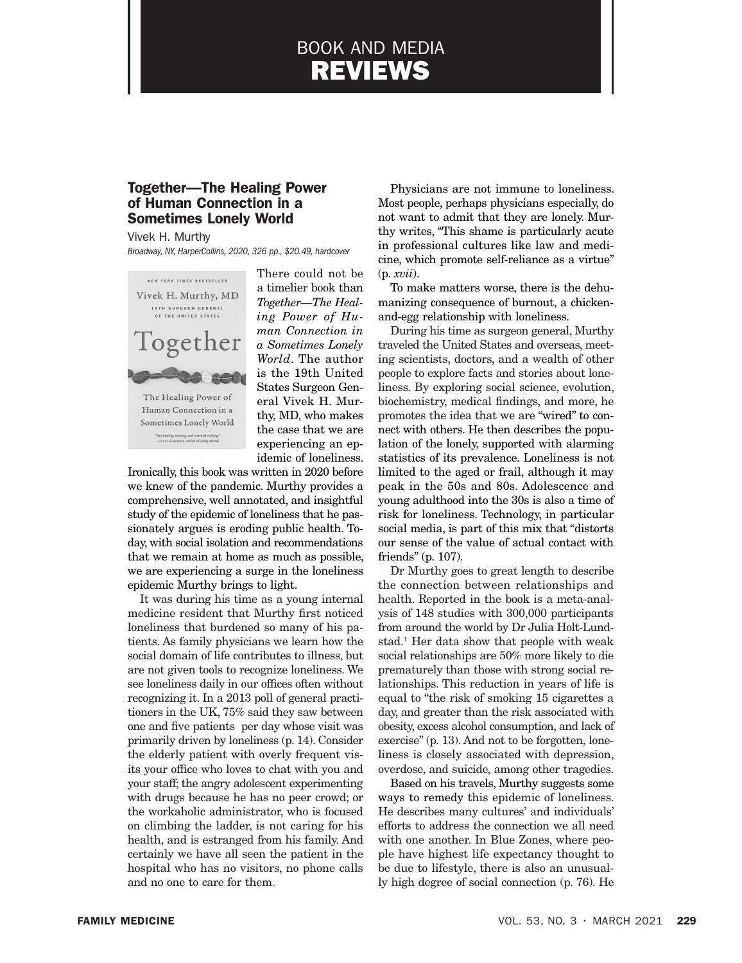# BOOK AND MEDIA REVIEWS

# Together—The Healing Power of Human Connection in a Sometimes Lonely World

## Vivek H. Murthy

*Broadway, NY, HarperCollins, 2020, 326 pp., \$20.49, hardcover*



There could not be a timelier book than *Together—The Healing Power of Human Connection in a Sometimes Lonely World*. The author is the 19th United States Surgeon General Vivek H. Murthy, MD, who makes the case that we are experiencing an epidemic of loneliness.

Ironically, this book was written in 2020 before we knew of the pandemic. Murthy provides a comprehensive, well annotated, and insightful study of the epidemic of loneliness that he passionately argues is eroding public health. Today, with social isolation and recommendations that we remain at home as much as possible, we are experiencing a surge in the loneliness epidemic Murthy brings to light.

It was during his time as a young internal medicine resident that Murthy first noticed loneliness that burdened so many of his patients. As family physicians we learn how the social domain of life contributes to illness, but are not given tools to recognize loneliness. We see loneliness daily in our offices often without recognizing it. In a 2013 poll of general practitioners in the UK, 75% said they saw between one and five patients per day whose visit was primarily driven by loneliness (p. 14). Consider the elderly patient with overly frequent visits your office who loves to chat with you and your staff; the angry adolescent experimenting with drugs because he has no peer crowd; or the workaholic administrator, who is focused on climbing the ladder, is not caring for his health, and is estranged from his family. And certainly we have all seen the patient in the hospital who has no visitors, no phone calls and no one to care for them.

Physicians are not immune to loneliness. Most people, perhaps physicians especially, do not want to admit that they are lonely. Murthy writes, "This shame is particularly acute in professional cultures like law and medicine, which promote self-reliance as a virtue" (p. *xvii*).

To make matters worse, there is the dehumanizing consequence of burnout, a chickenand-egg relationship with loneliness.

During his time as surgeon general, Murthy traveled the United States and overseas, meeting scientists, doctors, and a wealth of other people to explore facts and stories about loneliness. By exploring social science, evolution, biochemistry, medical findings, and more, he promotes the idea that we are "wired" to connect with others. He then describes the population of the lonely, supported with alarming statistics of its prevalence. Loneliness is not limited to the aged or frail, although it may peak in the 50s and 80s. Adolescence and young adulthood into the 30s is also a time of risk for loneliness. Technology, in particular social media, is part of this mix that "distorts our sense of the value of actual contact with friends" (p. 107).

Dr Murthy goes to great length to describe the connection between relationships and health. Reported in the book is a meta-analysis of 148 studies with 300,000 participants from around the world by Dr Julia Holt-Lundstad.<sup>1</sup> Her data show that people with weak social relationships are 50% more likely to die prematurely than those with strong social relationships. This reduction in years of life is equal to "the risk of smoking 15 cigarettes a day, and greater than the risk associated with obesity, excess alcohol consumption, and lack of exercise" (p. 13). And not to be forgotten, loneliness is closely associated with depression, overdose, and suicide, among other tragedies.

Based on his travels, Murthy suggests some ways to remedy this epidemic of loneliness. He describes many cultures' and individuals' efforts to address the connection we all need with one another. In Blue Zones, where people have highest life expectancy thought to be due to lifestyle, there is also an unusually high degree of social connection (p. 76). He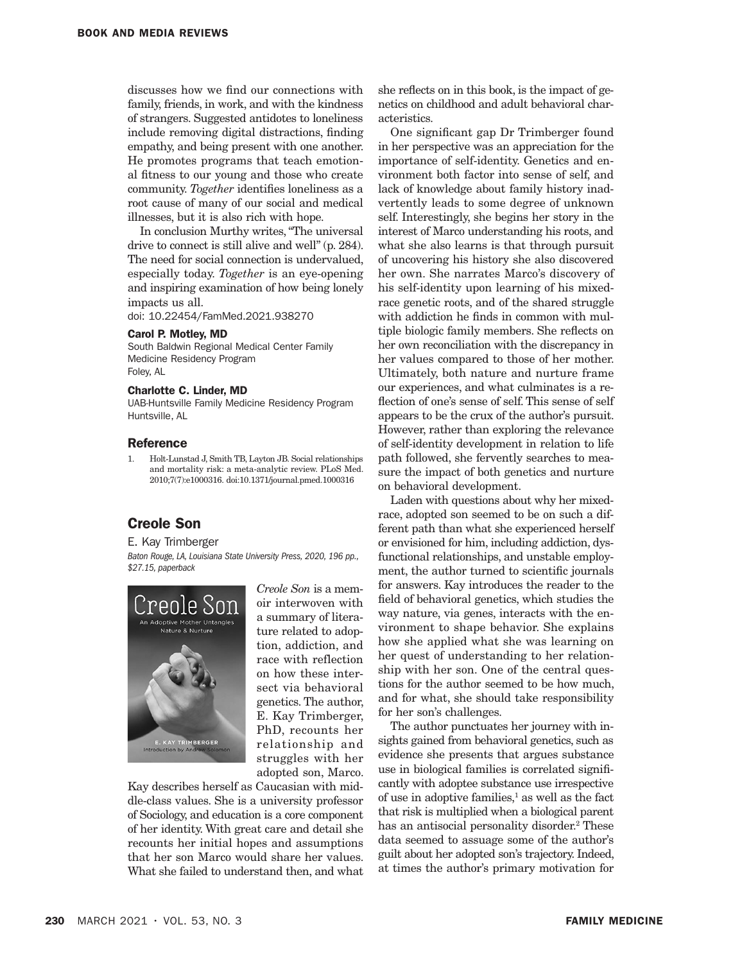discusses how we find our connections with family, friends, in work, and with the kindness of strangers. Suggested antidotes to loneliness include removing digital distractions, finding empathy, and being present with one another. He promotes programs that teach emotional fitness to our young and those who create community. *Together* identifies loneliness as a root cause of many of our social and medical illnesses, but it is also rich with hope.

In conclusion Murthy writes, "The universal drive to connect is still alive and well" (p. 284). The need for social connection is undervalued, especially today. *Together* is an eye-opening and inspiring examination of how being lonely impacts us all.

doi: 10.22454/FamMed.2021.938270

#### Carol P. Motley, MD

South Baldwin Regional Medical Center Family Medicine Residency Program Foley, AL

#### Charlotte C. Linder, MD

UAB-Huntsville Family Medicine Residency Program Huntsville, AL

#### **Reference**

1. Holt-Lunstad J, Smith TB, Layton JB. Social relationships and mortality risk: a meta-analytic review. PLoS Med. 2010;7(7):e1000316. doi:10.1371/journal.pmed.1000316

## Creole Son

#### E. Kay Trimberger

*Baton Rouge, LA, Louisiana State University Press, 2020, 196 pp., \$27.15, paperback*



*Creole Son* is a memoir interwoven with a summary of literature related to adoption, addiction, and race with reflection on how these intersect via behavioral genetics. The author, E. Kay Trimberger, PhD, recounts her relationship and struggles with her adopted son, Marco.

Kay describes herself as Caucasian with middle-class values. She is a university professor of Sociology, and education is a core component of her identity. With great care and detail she recounts her initial hopes and assumptions that her son Marco would share her values. What she failed to understand then, and what she reflects on in this book, is the impact of genetics on childhood and adult behavioral characteristics.

One significant gap Dr Trimberger found in her perspective was an appreciation for the importance of self-identity. Genetics and environment both factor into sense of self, and lack of knowledge about family history inadvertently leads to some degree of unknown self. Interestingly, she begins her story in the interest of Marco understanding his roots, and what she also learns is that through pursuit of uncovering his history she also discovered her own. She narrates Marco's discovery of his self-identity upon learning of his mixedrace genetic roots, and of the shared struggle with addiction he finds in common with multiple biologic family members. She reflects on her own reconciliation with the discrepancy in her values compared to those of her mother. Ultimately, both nature and nurture frame our experiences, and what culminates is a reflection of one's sense of self. This sense of self appears to be the crux of the author's pursuit. However, rather than exploring the relevance of self-identity development in relation to life path followed, she fervently searches to measure the impact of both genetics and nurture on behavioral development.

Laden with questions about why her mixedrace, adopted son seemed to be on such a different path than what she experienced herself or envisioned for him, including addiction, dysfunctional relationships, and unstable employment, the author turned to scientific journals for answers. Kay introduces the reader to the field of behavioral genetics, which studies the way nature, via genes, interacts with the environment to shape behavior. She explains how she applied what she was learning on her quest of understanding to her relationship with her son. One of the central questions for the author seemed to be how much, and for what, she should take responsibility for her son's challenges.

The author punctuates her journey with insights gained from behavioral genetics, such as evidence she presents that argues substance use in biological families is correlated significantly with adoptee substance use irrespective of use in adoptive families,<sup>1</sup> as well as the fact that risk is multiplied when a biological parent has an antisocial personality disorder.<sup>2</sup> These data seemed to assuage some of the author's guilt about her adopted son's trajectory. Indeed, at times the author's primary motivation for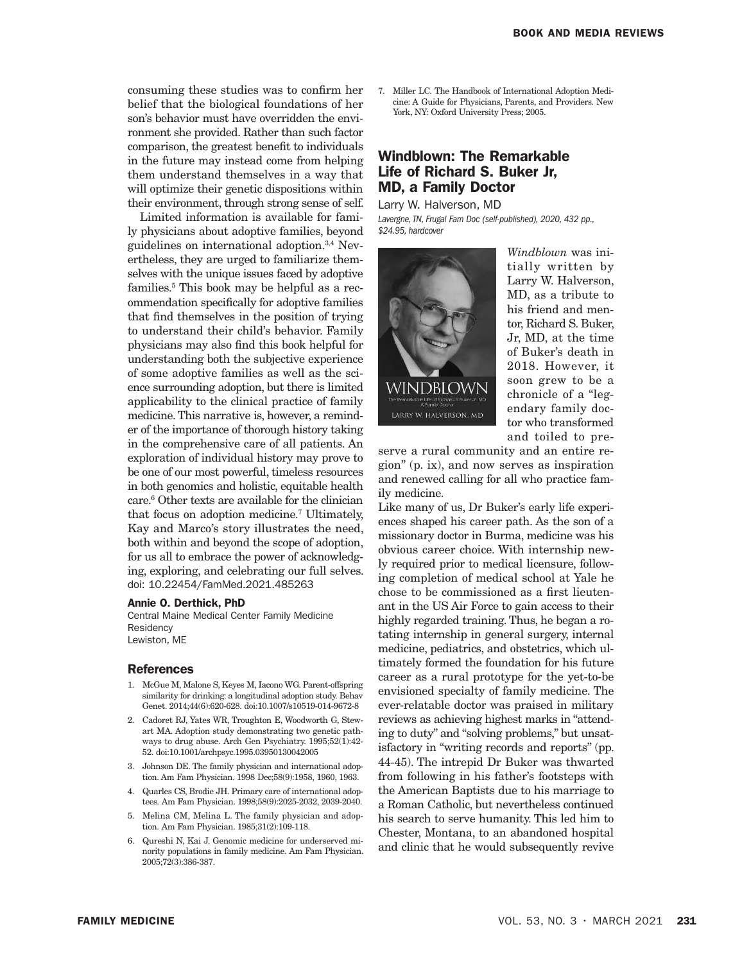consuming these studies was to confirm her belief that the biological foundations of her son's behavior must have overridden the environment she provided. Rather than such factor comparison, the greatest benefit to individuals in the future may instead come from helping them understand themselves in a way that will optimize their genetic dispositions within their environment, through strong sense of self.

Limited information is available for family physicians about adoptive families, beyond guidelines on international adoption.3,4 Nevertheless, they are urged to familiarize themselves with the unique issues faced by adoptive families.5 This book may be helpful as a recommendation specifically for adoptive families that find themselves in the position of trying to understand their child's behavior. Family physicians may also find this book helpful for understanding both the subjective experience of some adoptive families as well as the science surrounding adoption, but there is limited applicability to the clinical practice of family medicine. This narrative is, however, a reminder of the importance of thorough history taking in the comprehensive care of all patients. An exploration of individual history may prove to be one of our most powerful, timeless resources in both genomics and holistic, equitable health care.6 Other texts are available for the clinician that focus on adoption medicine.7 Ultimately, Kay and Marco's story illustrates the need, both within and beyond the scope of adoption, for us all to embrace the power of acknowledging, exploring, and celebrating our full selves. doi: 10.22454/FamMed.2021.485263

#### Annie O. Derthick, PhD

Central Maine Medical Center Family Medicine **Residency** Lewiston, ME

#### References

- 1. McGue M, Malone S, Keyes M, Iacono WG. Parent-offspring similarity for drinking: a longitudinal adoption study. Behav Genet. 2014;44(6):620-628. doi:10.1007/s10519-014-9672-8
- 2. Cadoret RJ, Yates WR, Troughton E, Woodworth G, Stewart MA. Adoption study demonstrating two genetic pathways to drug abuse. Arch Gen Psychiatry. 1995;52(1):42- 52. doi:10.1001/archpsyc.1995.03950130042005
- 3. Johnson DE. The family physician and international adoption. Am Fam Physician. 1998 Dec;58(9):1958, 1960, 1963.
- 4. Quarles CS, Brodie JH. Primary care of international adoptees. Am Fam Physician. 1998;58(9):2025-2032, 2039-2040.
- 5. Melina CM, Melina L. The family physician and adoption. Am Fam Physician. 1985;31(2):109-118.
- 6. Qureshi N, Kai J. Genomic medicine for underserved minority populations in family medicine. Am Fam Physician. 2005;72(3):386-387.

7. Miller LC. The Handbook of International Adoption Medicine: A Guide for Physicians, Parents, and Providers. New York, NY: Oxford University Press; 2005.

## Windblown: The Remarkable Life of Richard S. Buker Jr, MD, a Family Doctor

Larry W. Halverson, MD

*Lavergne, TN, Frugal Fam Doc (self-published), 2020, 432 pp., \$24.95, hardcover*



*Windblown* was initially written by Larry W. Halverson, MD, as a tribute to his friend and mentor, Richard S. Buker, Jr, MD, at the time of Buker's death in 2018. However, it soon grew to be a chronicle of a "legendary family doctor who transformed and toiled to pre-

serve a rural community and an entire region" (p. ix), and now serves as inspiration and renewed calling for all who practice family medicine.

Like many of us, Dr Buker's early life experiences shaped his career path. As the son of a missionary doctor in Burma, medicine was his obvious career choice. With internship newly required prior to medical licensure, following completion of medical school at Yale he chose to be commissioned as a first lieutenant in the US Air Force to gain access to their highly regarded training. Thus, he began a rotating internship in general surgery, internal medicine, pediatrics, and obstetrics, which ultimately formed the foundation for his future career as a rural prototype for the yet-to-be envisioned specialty of family medicine. The ever-relatable doctor was praised in military reviews as achieving highest marks in "attending to duty" and "solving problems," but unsatisfactory in "writing records and reports" (pp. 44-45). The intrepid Dr Buker was thwarted from following in his father's footsteps with the American Baptists due to his marriage to a Roman Catholic, but nevertheless continued his search to serve humanity. This led him to Chester, Montana, to an abandoned hospital and clinic that he would subsequently revive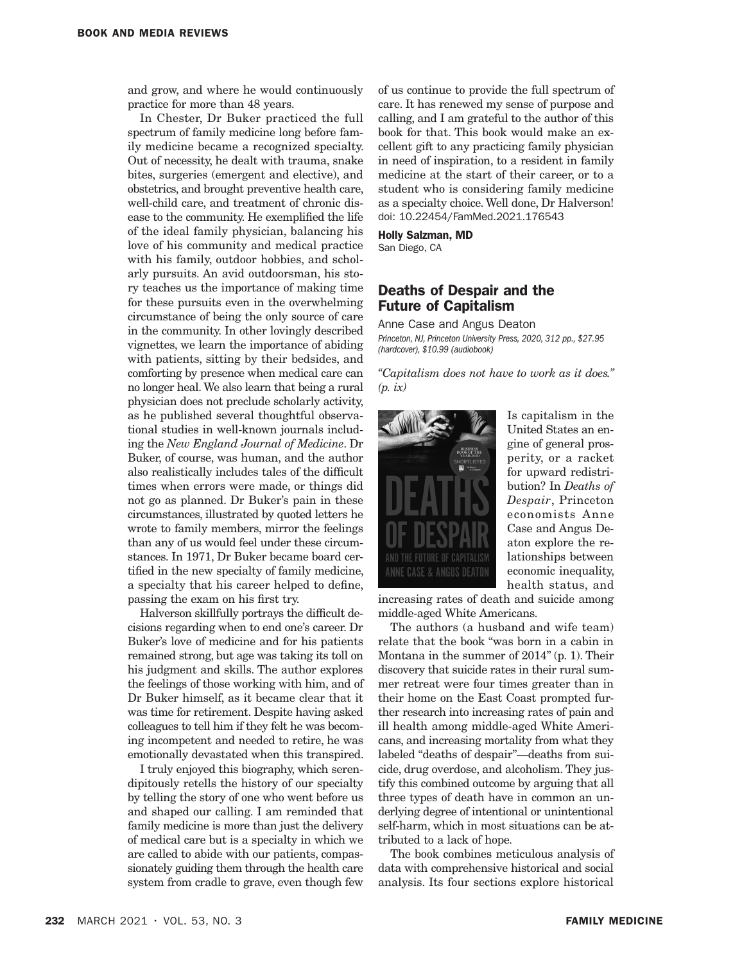and grow, and where he would continuously practice for more than 48 years.

In Chester, Dr Buker practiced the full spectrum of family medicine long before family medicine became a recognized specialty. Out of necessity, he dealt with trauma, snake bites, surgeries (emergent and elective), and obstetrics, and brought preventive health care, well-child care, and treatment of chronic disease to the community. He exemplified the life of the ideal family physician, balancing his love of his community and medical practice with his family, outdoor hobbies, and scholarly pursuits. An avid outdoorsman, his story teaches us the importance of making time for these pursuits even in the overwhelming circumstance of being the only source of care in the community. In other lovingly described vignettes, we learn the importance of abiding with patients, sitting by their bedsides, and comforting by presence when medical care can no longer heal. We also learn that being a rural physician does not preclude scholarly activity, as he published several thoughtful observational studies in well-known journals including the *New England Journal of Medicine*. Dr Buker, of course, was human, and the author also realistically includes tales of the difficult times when errors were made, or things did not go as planned. Dr Buker's pain in these circumstances, illustrated by quoted letters he wrote to family members, mirror the feelings than any of us would feel under these circumstances. In 1971, Dr Buker became board certified in the new specialty of family medicine, a specialty that his career helped to define, passing the exam on his first try.

Halverson skillfully portrays the difficult decisions regarding when to end one's career. Dr Buker's love of medicine and for his patients remained strong, but age was taking its toll on his judgment and skills. The author explores the feelings of those working with him, and of Dr Buker himself, as it became clear that it was time for retirement. Despite having asked colleagues to tell him if they felt he was becoming incompetent and needed to retire, he was emotionally devastated when this transpired.

I truly enjoyed this biography, which serendipitously retells the history of our specialty by telling the story of one who went before us and shaped our calling. I am reminded that family medicine is more than just the delivery of medical care but is a specialty in which we are called to abide with our patients, compassionately guiding them through the health care system from cradle to grave, even though few

of us continue to provide the full spectrum of care. It has renewed my sense of purpose and calling, and I am grateful to the author of this book for that. This book would make an excellent gift to any practicing family physician in need of inspiration, to a resident in family medicine at the start of their career, or to a student who is considering family medicine as a specialty choice. Well done, Dr Halverson! doi: 10.22454/FamMed.2021.176543

Holly Salzman, MD

San Diego, CA

## Deaths of Despair and the Future of Capitalism

Anne Case and Angus Deaton *Princeton, NJ, Princeton University Press, 2020, 312 pp., \$27.95 (hardcover), \$10.99 (audiobook)*

*"Capitalism does not have to work as it does." (p. ix)*



Is capitalism in the United States an engine of general prosperity, or a racket for upward redistribution? In *Deaths of Despair*, Princeton economists Anne Case and Angus Deaton explore the relationships between economic inequality, health status, and

increasing rates of death and suicide among middle-aged White Americans.

The authors (a husband and wife team) relate that the book "was born in a cabin in Montana in the summer of 2014" (p. 1). Their discovery that suicide rates in their rural summer retreat were four times greater than in their home on the East Coast prompted further research into increasing rates of pain and ill health among middle-aged White Americans, and increasing mortality from what they labeled "deaths of despair"—deaths from suicide, drug overdose, and alcoholism. They justify this combined outcome by arguing that all three types of death have in common an underlying degree of intentional or unintentional self-harm, which in most situations can be attributed to a lack of hope.

The book combines meticulous analysis of data with comprehensive historical and social analysis. Its four sections explore historical